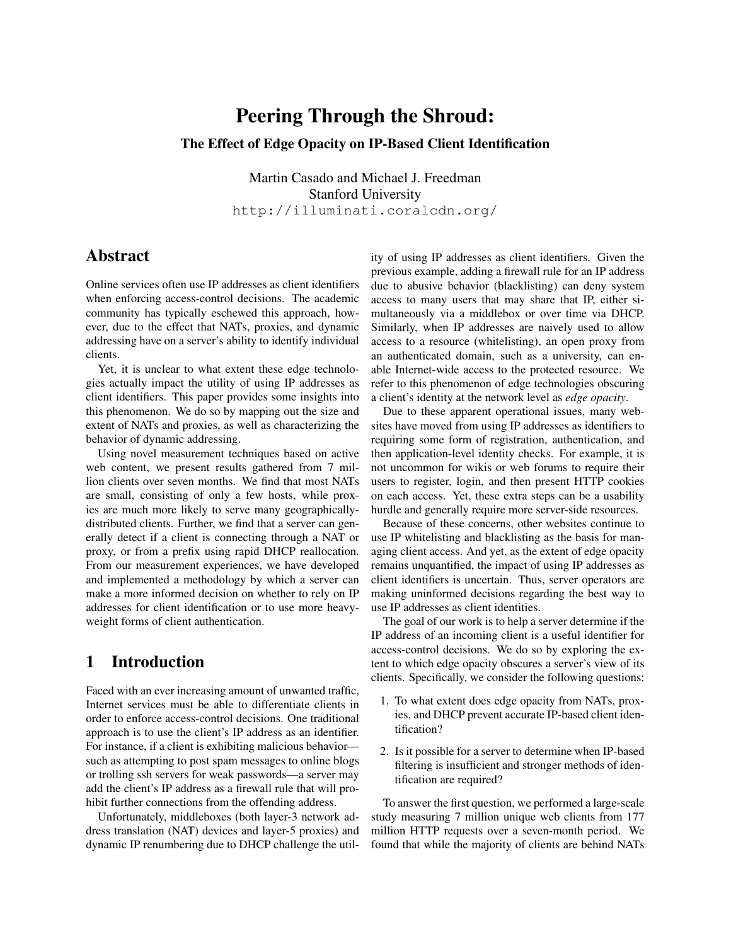# Peering Through the Shroud: The Effect of Edge Opacity on IP-Based Client Identification

Martin Casado and Michael J. Freedman Stanford University http://illuminati.coralcdn.org/

# Abstract

Online services often use IP addresses as client identifiers when enforcing access-control decisions. The academic community has typically eschewed this approach, however, due to the effect that NATs, proxies, and dynamic addressing have on a server's ability to identify individual clients.

Yet, it is unclear to what extent these edge technologies actually impact the utility of using IP addresses as client identifiers. This paper provides some insights into this phenomenon. We do so by mapping out the size and extent of NATs and proxies, as well as characterizing the behavior of dynamic addressing.

Using novel measurement techniques based on active web content, we present results gathered from 7 million clients over seven months. We find that most NATs are small, consisting of only a few hosts, while proxies are much more likely to serve many geographicallydistributed clients. Further, we find that a server can generally detect if a client is connecting through a NAT or proxy, or from a prefix using rapid DHCP reallocation. From our measurement experiences, we have developed and implemented a methodology by which a server can make a more informed decision on whether to rely on IP addresses for client identification or to use more heavyweight forms of client authentication.

# 1 Introduction

Faced with an ever increasing amount of unwanted traffic, Internet services must be able to differentiate clients in order to enforce access-control decisions. One traditional approach is to use the client's IP address as an identifier. For instance, if a client is exhibiting malicious behavior such as attempting to post spam messages to online blogs or trolling ssh servers for weak passwords—a server may add the client's IP address as a firewall rule that will prohibit further connections from the offending address.

Unfortunately, middleboxes (both layer-3 network address translation (NAT) devices and layer-5 proxies) and dynamic IP renumbering due to DHCP challenge the utility of using IP addresses as client identifiers. Given the previous example, adding a firewall rule for an IP address due to abusive behavior (blacklisting) can deny system access to many users that may share that IP, either simultaneously via a middlebox or over time via DHCP. Similarly, when IP addresses are naively used to allow access to a resource (whitelisting), an open proxy from an authenticated domain, such as a university, can enable Internet-wide access to the protected resource. We refer to this phenomenon of edge technologies obscuring a client's identity at the network level as *edge opacity*.

Due to these apparent operational issues, many websites have moved from using IP addresses as identifiers to requiring some form of registration, authentication, and then application-level identity checks. For example, it is not uncommon for wikis or web forums to require their users to register, login, and then present HTTP cookies on each access. Yet, these extra steps can be a usability hurdle and generally require more server-side resources.

Because of these concerns, other websites continue to use IP whitelisting and blacklisting as the basis for managing client access. And yet, as the extent of edge opacity remains unquantified, the impact of using IP addresses as client identifiers is uncertain. Thus, server operators are making uninformed decisions regarding the best way to use IP addresses as client identities.

The goal of our work is to help a server determine if the IP address of an incoming client is a useful identifier for access-control decisions. We do so by exploring the extent to which edge opacity obscures a server's view of its clients. Specifically, we consider the following questions:

- 1. To what extent does edge opacity from NATs, proxies, and DHCP prevent accurate IP-based client identification?
- 2. Is it possible for a server to determine when IP-based filtering is insufficient and stronger methods of identification are required?

To answer the first question, we performed a large-scale study measuring 7 million unique web clients from 177 million HTTP requests over a seven-month period. We found that while the majority of clients are behind NATs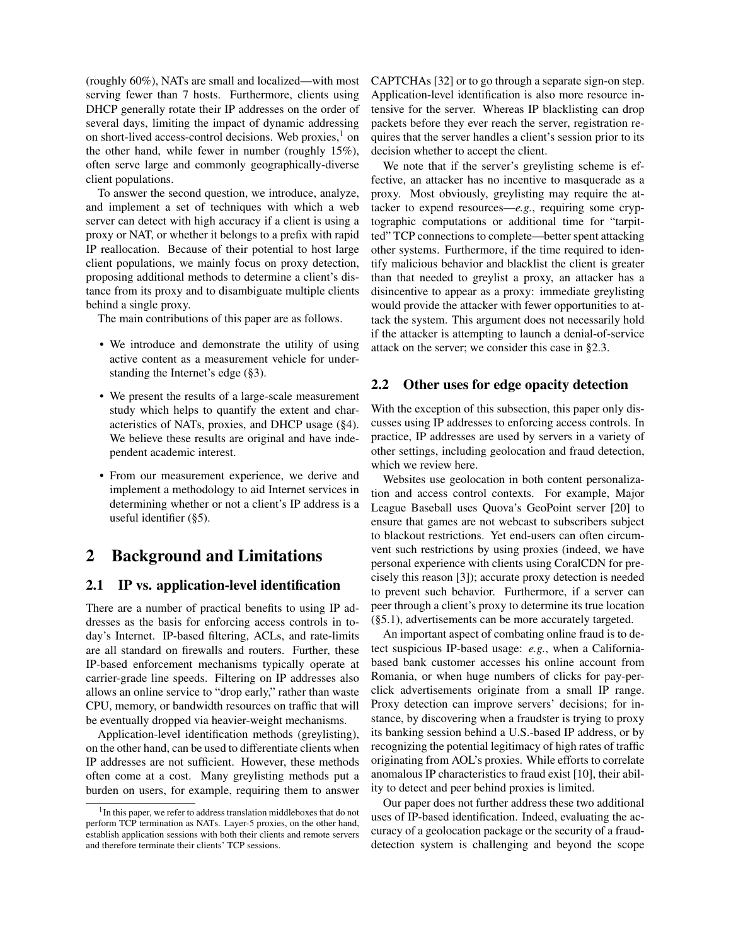(roughly 60%), NATs are small and localized—with most serving fewer than 7 hosts. Furthermore, clients using DHCP generally rotate their IP addresses on the order of several days, limiting the impact of dynamic addressing on short-lived access-control decisions. Web proxies, $<sup>1</sup>$  $<sup>1</sup>$  $<sup>1</sup>$  on</sup> the other hand, while fewer in number (roughly 15%), often serve large and commonly geographically-diverse client populations.

To answer the second question, we introduce, analyze, and implement a set of techniques with which a web server can detect with high accuracy if a client is using a proxy or NAT, or whether it belongs to a prefix with rapid IP reallocation. Because of their potential to host large client populations, we mainly focus on proxy detection, proposing additional methods to determine a client's distance from its proxy and to disambiguate multiple clients behind a single proxy.

The main contributions of this paper are as follows.

- We introduce and demonstrate the utility of using active content as a measurement vehicle for understanding the Internet's edge ([§3\)](#page-2-0).
- We present the results of a large-scale measurement study which helps to quantify the extent and characteristics of NATs, proxies, and DHCP usage ([§4\)](#page-4-0). We believe these results are original and have independent academic interest.
- From our measurement experience, we derive and implement a methodology to aid Internet services in determining whether or not a client's IP address is a useful identifier ([§5\)](#page-8-0).

# 2 Background and Limitations

### 2.1 IP vs. application-level identification

There are a number of practical benefits to using IP addresses as the basis for enforcing access controls in today's Internet. IP-based filtering, ACLs, and rate-limits are all standard on firewalls and routers. Further, these IP-based enforcement mechanisms typically operate at carrier-grade line speeds. Filtering on IP addresses also allows an online service to "drop early," rather than waste CPU, memory, or bandwidth resources on traffic that will be eventually dropped via heavier-weight mechanisms.

Application-level identification methods (greylisting), on the other hand, can be used to differentiate clients when IP addresses are not sufficient. However, these methods often come at a cost. Many greylisting methods put a burden on users, for example, requiring them to answer CAPTCHAs [\[32\]](#page-13-0) or to go through a separate sign-on step. Application-level identification is also more resource intensive for the server. Whereas IP blacklisting can drop packets before they ever reach the server, registration requires that the server handles a client's session prior to its decision whether to accept the client.

We note that if the server's greylisting scheme is effective, an attacker has no incentive to masquerade as a proxy. Most obviously, greylisting may require the attacker to expend resources—*e.g.*, requiring some cryptographic computations or additional time for "tarpitted" TCP connections to complete—better spent attacking other systems. Furthermore, if the time required to identify malicious behavior and blacklist the client is greater than that needed to greylist a proxy, an attacker has a disincentive to appear as a proxy: immediate greylisting would provide the attacker with fewer opportunities to attack the system. This argument does not necessarily hold if the attacker is attempting to launch a denial-of-service attack on the server; we consider this case in [§2.3.](#page-2-1)

## 2.2 Other uses for edge opacity detection

With the exception of this subsection, this paper only discusses using IP addresses to enforcing access controls. In practice, IP addresses are used by servers in a variety of other settings, including geolocation and fraud detection, which we review here.

Websites use geolocation in both content personalization and access control contexts. For example, Major League Baseball uses Quova's GeoPoint server [\[20\]](#page-13-1) to ensure that games are not webcast to subscribers subject to blackout restrictions. Yet end-users can often circumvent such restrictions by using proxies (indeed, we have personal experience with clients using CoralCDN for precisely this reason [\[3\]](#page-13-2)); accurate proxy detection is needed to prevent such behavior. Furthermore, if a server can peer through a client's proxy to determine its true location ([§5.1\)](#page-8-1), advertisements can be more accurately targeted.

An important aspect of combating online fraud is to detect suspicious IP-based usage: *e.g.*, when a Californiabased bank customer accesses his online account from Romania, or when huge numbers of clicks for pay-perclick advertisements originate from a small IP range. Proxy detection can improve servers' decisions; for instance, by discovering when a fraudster is trying to proxy its banking session behind a U.S.-based IP address, or by recognizing the potential legitimacy of high rates of traffic originating from AOL's proxies. While efforts to correlate anomalous IP characteristics to fraud exist [\[10\]](#page-13-3), their ability to detect and peer behind proxies is limited.

Our paper does not further address these two additional uses of IP-based identification. Indeed, evaluating the accuracy of a geolocation package or the security of a frauddetection system is challenging and beyond the scope

<span id="page-1-0"></span><sup>&</sup>lt;sup>1</sup> In this paper, we refer to address translation middleboxes that do not perform TCP termination as NATs. Layer-5 proxies, on the other hand, establish application sessions with both their clients and remote servers and therefore terminate their clients' TCP sessions.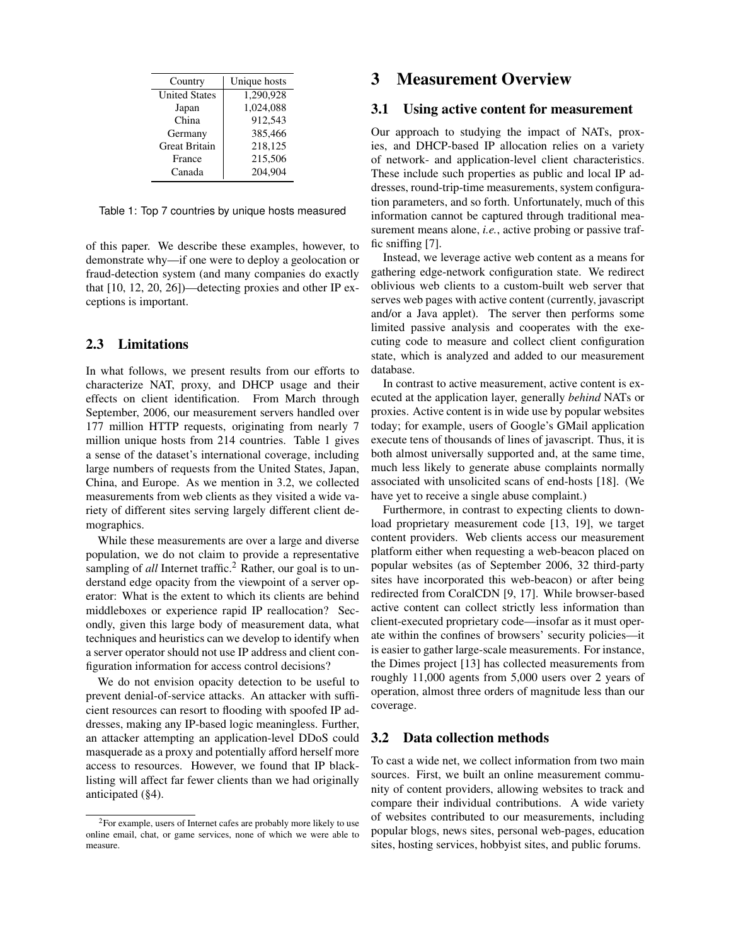| Country              | Unique hosts |
|----------------------|--------------|
| <b>United States</b> | 1,290,928    |
| Japan                | 1,024,088    |
| China                | 912.543      |
| Germany              | 385,466      |
| <b>Great Britain</b> | 218,125      |
| France               | 215,506      |
| Canada               | 204,904      |

<span id="page-2-2"></span>Table 1: Top 7 countries by unique hosts measured

of this paper. We describe these examples, however, to demonstrate why—if one were to deploy a geolocation or fraud-detection system (and many companies do exactly that [\[10,](#page-13-3) [12,](#page-13-4) [20,](#page-13-1) [26\]](#page-13-5))—detecting proxies and other IP exceptions is important.

## <span id="page-2-1"></span>2.3 Limitations

In what follows, we present results from our efforts to characterize NAT, proxy, and DHCP usage and their effects on client identification. From March through September, 2006, our measurement servers handled over 177 million HTTP requests, originating from nearly 7 million unique hosts from 214 countries. Table [1](#page-2-2) gives a sense of the dataset's international coverage, including large numbers of requests from the United States, Japan, China, and Europe. As we mention in [3.2,](#page-2-3) we collected measurements from web clients as they visited a wide variety of different sites serving largely different client demographics.

While these measurements are over a large and diverse population, we do not claim to provide a representative sampling of *all* Internet traffic.<sup>[2](#page-2-4)</sup> Rather, our goal is to understand edge opacity from the viewpoint of a server operator: What is the extent to which its clients are behind middleboxes or experience rapid IP reallocation? Secondly, given this large body of measurement data, what techniques and heuristics can we develop to identify when a server operator should not use IP address and client configuration information for access control decisions?

We do not envision opacity detection to be useful to prevent denial-of-service attacks. An attacker with sufficient resources can resort to flooding with spoofed IP addresses, making any IP-based logic meaningless. Further, an attacker attempting an application-level DDoS could masquerade as a proxy and potentially afford herself more access to resources. However, we found that IP blacklisting will affect far fewer clients than we had originally anticipated ([§4\)](#page-4-0).

# <span id="page-2-0"></span>3 Measurement Overview

#### 3.1 Using active content for measurement

Our approach to studying the impact of NATs, proxies, and DHCP-based IP allocation relies on a variety of network- and application-level client characteristics. These include such properties as public and local IP addresses, round-trip-time measurements, system configuration parameters, and so forth. Unfortunately, much of this information cannot be captured through traditional measurement means alone, *i.e.*, active probing or passive traffic sniffing [\[7\]](#page-13-6).

Instead, we leverage active web content as a means for gathering edge-network configuration state. We redirect oblivious web clients to a custom-built web server that serves web pages with active content (currently, javascript and/or a Java applet). The server then performs some limited passive analysis and cooperates with the executing code to measure and collect client configuration state, which is analyzed and added to our measurement database.

In contrast to active measurement, active content is executed at the application layer, generally *behind* NATs or proxies. Active content is in wide use by popular websites today; for example, users of Google's GMail application execute tens of thousands of lines of javascript. Thus, it is both almost universally supported and, at the same time, much less likely to generate abuse complaints normally associated with unsolicited scans of end-hosts [\[18\]](#page-13-7). (We have yet to receive a single abuse complaint.)

Furthermore, in contrast to expecting clients to download proprietary measurement code [\[13,](#page-13-8) [19\]](#page-13-9), we target content providers. Web clients access our measurement platform either when requesting a web-beacon placed on popular websites (as of September 2006, 32 third-party sites have incorporated this web-beacon) or after being redirected from CoralCDN [\[9,](#page-13-10) [17\]](#page-13-11). While browser-based active content can collect strictly less information than client-executed proprietary code—insofar as it must operate within the confines of browsers' security policies—it is easier to gather large-scale measurements. For instance, the Dimes project [\[13\]](#page-13-8) has collected measurements from roughly 11,000 agents from 5,000 users over 2 years of operation, almost three orders of magnitude less than our coverage.

### <span id="page-2-3"></span>3.2 Data collection methods

To cast a wide net, we collect information from two main sources. First, we built an online measurement community of content providers, allowing websites to track and compare their individual contributions. A wide variety of websites contributed to our measurements, including popular blogs, news sites, personal web-pages, education sites, hosting services, hobbyist sites, and public forums.

<span id="page-2-4"></span><sup>&</sup>lt;sup>2</sup>For example, users of Internet cafes are probably more likely to use online email, chat, or game services, none of which we were able to measure.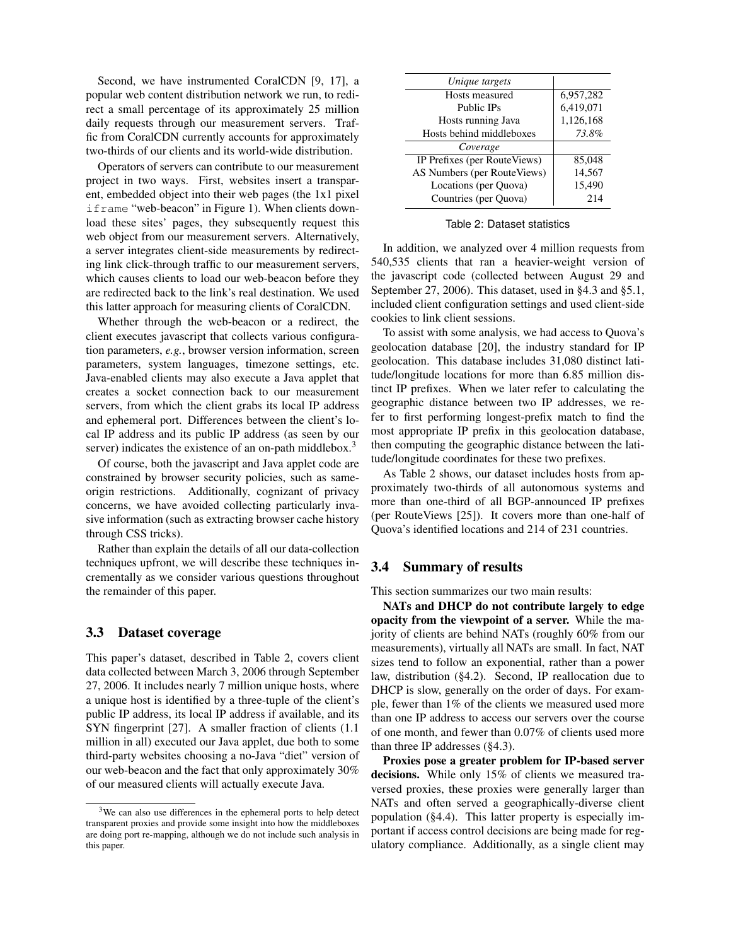Second, we have instrumented CoralCDN [\[9,](#page-13-10) [17\]](#page-13-11), a popular web content distribution network we run, to redirect a small percentage of its approximately 25 million daily requests through our measurement servers. Traffic from CoralCDN currently accounts for approximately two-thirds of our clients and its world-wide distribution.

Operators of servers can contribute to our measurement project in two ways. First, websites insert a transparent, embedded object into their web pages (the 1x1 pixel iframe "web-beacon" in Figure [1\)](#page-4-1). When clients download these sites' pages, they subsequently request this web object from our measurement servers. Alternatively, a server integrates client-side measurements by redirecting link click-through traffic to our measurement servers, which causes clients to load our web-beacon before they are redirected back to the link's real destination. We used this latter approach for measuring clients of CoralCDN.

Whether through the web-beacon or a redirect, the client executes javascript that collects various configuration parameters, *e.g.*, browser version information, screen parameters, system languages, timezone settings, etc. Java-enabled clients may also execute a Java applet that creates a socket connection back to our measurement servers, from which the client grabs its local IP address and ephemeral port. Differences between the client's local IP address and its public IP address (as seen by our server) indicates the existence of an on-path middlebox.<sup>[3](#page-3-0)</sup>

Of course, both the javascript and Java applet code are constrained by browser security policies, such as sameorigin restrictions. Additionally, cognizant of privacy concerns, we have avoided collecting particularly invasive information (such as extracting browser cache history through CSS tricks).

Rather than explain the details of all our data-collection techniques upfront, we will describe these techniques incrementally as we consider various questions throughout the remainder of this paper.

#### 3.3 Dataset coverage

This paper's dataset, described in Table [2,](#page-3-1) covers client data collected between March 3, 2006 through September 27, 2006. It includes nearly 7 million unique hosts, where a unique host is identified by a three-tuple of the client's public IP address, its local IP address if available, and its SYN fingerprint [\[27\]](#page-13-12). A smaller fraction of clients (1.1 million in all) executed our Java applet, due both to some third-party websites choosing a no-Java "diet" version of our web-beacon and the fact that only approximately 30% of our measured clients will actually execute Java.

| Unique targets               |           |
|------------------------------|-----------|
| Hosts measured               | 6,957,282 |
| Public IPs                   | 6,419,071 |
| Hosts running Java           | 1,126,168 |
| Hosts behind middleboxes     | 73.8%     |
| Coverage                     |           |
| IP Prefixes (per RouteViews) | 85,048    |
| AS Numbers (per RouteViews)  | 14,567    |
| Locations (per Quova)        | 15,490    |
| Countries (per Quova)        | 214       |

<span id="page-3-1"></span>Table 2: Dataset statistics

In addition, we analyzed over 4 million requests from 540,535 clients that ran a heavier-weight version of the javascript code (collected between August 29 and September 27, 2006). This dataset, used in [§4.3](#page-6-0) and [§5.1,](#page-8-1) included client configuration settings and used client-side cookies to link client sessions.

To assist with some analysis, we had access to Quova's geolocation database [\[20\]](#page-13-1), the industry standard for IP geolocation. This database includes 31,080 distinct latitude/longitude locations for more than 6.85 million distinct IP prefixes. When we later refer to calculating the geographic distance between two IP addresses, we refer to first performing longest-prefix match to find the most appropriate IP prefix in this geolocation database, then computing the geographic distance between the latitude/longitude coordinates for these two prefixes.

As Table [2](#page-3-1) shows, our dataset includes hosts from approximately two-thirds of all autonomous systems and more than one-third of all BGP-announced IP prefixes (per RouteViews [\[25\]](#page-13-13)). It covers more than one-half of Quova's identified locations and 214 of 231 countries.

### 3.4 Summary of results

This section summarizes our two main results:

NATs and DHCP do not contribute largely to edge opacity from the viewpoint of a server. While the majority of clients are behind NATs (roughly 60% from our measurements), virtually all NATs are small. In fact, NAT sizes tend to follow an exponential, rather than a power law, distribution ([§4.2\)](#page-4-2). Second, IP reallocation due to DHCP is slow, generally on the order of days. For example, fewer than 1% of the clients we measured used more than one IP address to access our servers over the course of one month, and fewer than 0.07% of clients used more than three IP addresses ([§4.3\)](#page-6-0).

Proxies pose a greater problem for IP-based server decisions. While only 15% of clients we measured traversed proxies, these proxies were generally larger than NATs and often served a geographically-diverse client population ([§4.4\)](#page-7-0). This latter property is especially important if access control decisions are being made for regulatory compliance. Additionally, as a single client may

<span id="page-3-0"></span><sup>&</sup>lt;sup>3</sup>We can also use differences in the ephemeral ports to help detect transparent proxies and provide some insight into how the middleboxes are doing port re-mapping, although we do not include such analysis in this paper.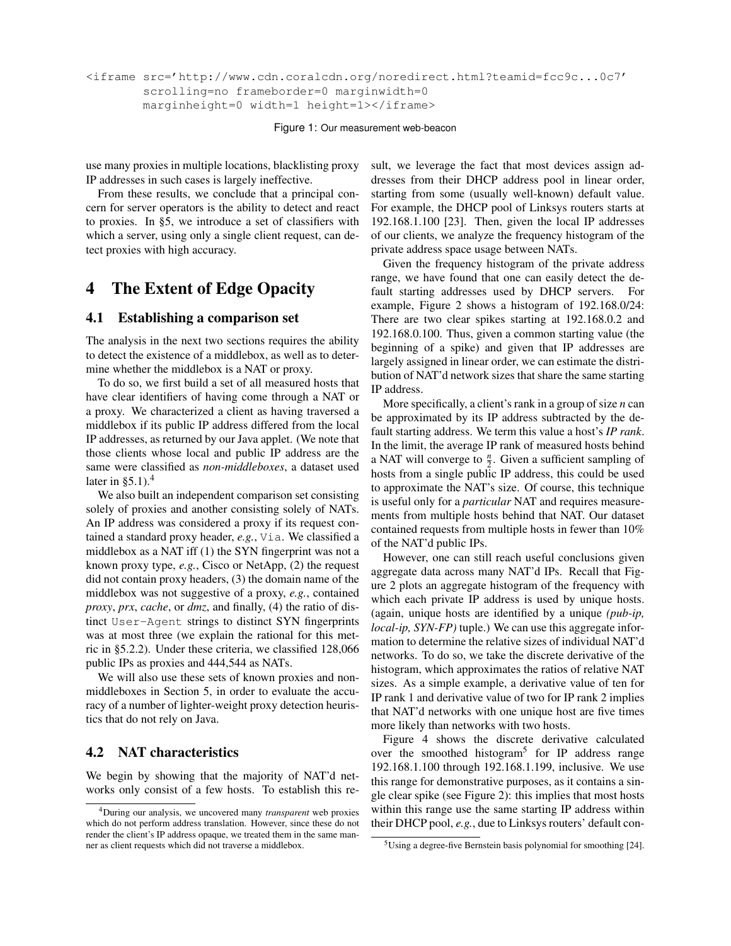```
<iframe src='http://www.cdn.coralcdn.org/noredirect.html?teamid=fcc9c...0c7'
 scrolling=no frameborder=0 marginwidth=0
marginheight=0 width=1 height=1></iframe>
```
<span id="page-4-1"></span>Figure 1: Our measurement web-beacon

use many proxies in multiple locations, blacklisting proxy IP addresses in such cases is largely ineffective.

From these results, we conclude that a principal concern for server operators is the ability to detect and react to proxies. In [§5,](#page-8-0) we introduce a set of classifiers with which a server, using only a single client request, can detect proxies with high accuracy.

# <span id="page-4-0"></span>4 The Extent of Edge Opacity

#### <span id="page-4-5"></span>4.1 Establishing a comparison set

The analysis in the next two sections requires the ability to detect the existence of a middlebox, as well as to determine whether the middlebox is a NAT or proxy.

To do so, we first build a set of all measured hosts that have clear identifiers of having come through a NAT or a proxy. We characterized a client as having traversed a middlebox if its public IP address differed from the local IP addresses, as returned by our Java applet. (We note that those clients whose local and public IP address are the same were classified as *non-middleboxes*, a dataset used later in  $\S 5.1$ ).<sup>[4](#page-4-3)</sup>

We also built an independent comparison set consisting solely of proxies and another consisting solely of NATs. An IP address was considered a proxy if its request contained a standard proxy header, *e.g.*, Via. We classified a middlebox as a NAT iff (1) the SYN fingerprint was not a known proxy type, *e.g.*, Cisco or NetApp, (2) the request did not contain proxy headers, (3) the domain name of the middlebox was not suggestive of a proxy, *e.g.*, contained *proxy*, *prx*, *cache*, or *dmz*, and finally, (4) the ratio of distinct User-Agent strings to distinct SYN fingerprints was at most three (we explain the rational for this metric in [§5.2.2\)](#page-11-0). Under these criteria, we classified 128,066 public IPs as proxies and 444,544 as NATs.

We will also use these sets of known proxies and nonmiddleboxes in Section [5,](#page-8-0) in order to evaluate the accuracy of a number of lighter-weight proxy detection heuristics that do not rely on Java.

#### <span id="page-4-2"></span>4.2 NAT characteristics

We begin by showing that the majority of NAT'd networks only consist of a few hosts. To establish this result, we leverage the fact that most devices assign addresses from their DHCP address pool in linear order, starting from some (usually well-known) default value. For example, the DHCP pool of Linksys routers starts at 192.168.1.100 [\[23\]](#page-13-14). Then, given the local IP addresses of our clients, we analyze the frequency histogram of the private address space usage between NATs.

Given the frequency histogram of the private address range, we have found that one can easily detect the default starting addresses used by DHCP servers. For example, Figure [2](#page-5-0) shows a histogram of 192.168.0/24: There are two clear spikes starting at 192.168.0.2 and 192.168.0.100. Thus, given a common starting value (the beginning of a spike) and given that IP addresses are largely assigned in linear order, we can estimate the distribution of NAT'd network sizes that share the same starting IP address.

More specifically, a client's rank in a group of size *n* can be approximated by its IP address subtracted by the default starting address. We term this value a host's *IP rank*. In the limit, the average IP rank of measured hosts behind a NAT will converge to  $\frac{n}{2}$ . Given a sufficient sampling of hosts from a single public IP address, this could be used to approximate the NAT's size. Of course, this technique is useful only for a *particular* NAT and requires measurements from multiple hosts behind that NAT. Our dataset contained requests from multiple hosts in fewer than 10% of the NAT'd public IPs.

However, one can still reach useful conclusions given aggregate data across many NAT'd IPs. Recall that Figure [2](#page-5-0) plots an aggregate histogram of the frequency with which each private IP address is used by unique hosts. (again, unique hosts are identified by a unique *(pub-ip, local-ip, SYN-FP*) tuple.) We can use this aggregate information to determine the relative sizes of individual NAT'd networks. To do so, we take the discrete derivative of the histogram, which approximates the ratios of relative NAT sizes. As a simple example, a derivative value of ten for IP rank 1 and derivative value of two for IP rank 2 implies that NAT'd networks with one unique host are five times more likely than networks with two hosts.

Figure [4](#page-5-1) shows the discrete derivative calculated over the smoothed histogram<sup>[5](#page-4-4)</sup> for IP address range 192.168.1.100 through 192.168.1.199, inclusive. We use this range for demonstrative purposes, as it contains a single clear spike (see Figure [2\)](#page-5-0): this implies that most hosts within this range use the same starting IP address within their DHCP pool, *e.g.*, due to Linksys routers' default con-

<span id="page-4-3"></span><sup>4</sup>During our analysis, we uncovered many *transparent* web proxies which do not perform address translation. However, since these do not render the client's IP address opaque, we treated them in the same manner as client requests which did not traverse a middlebox.

<span id="page-4-4"></span><sup>5</sup>Using a degree-five Bernstein basis polynomial for smoothing [\[24\]](#page-13-15).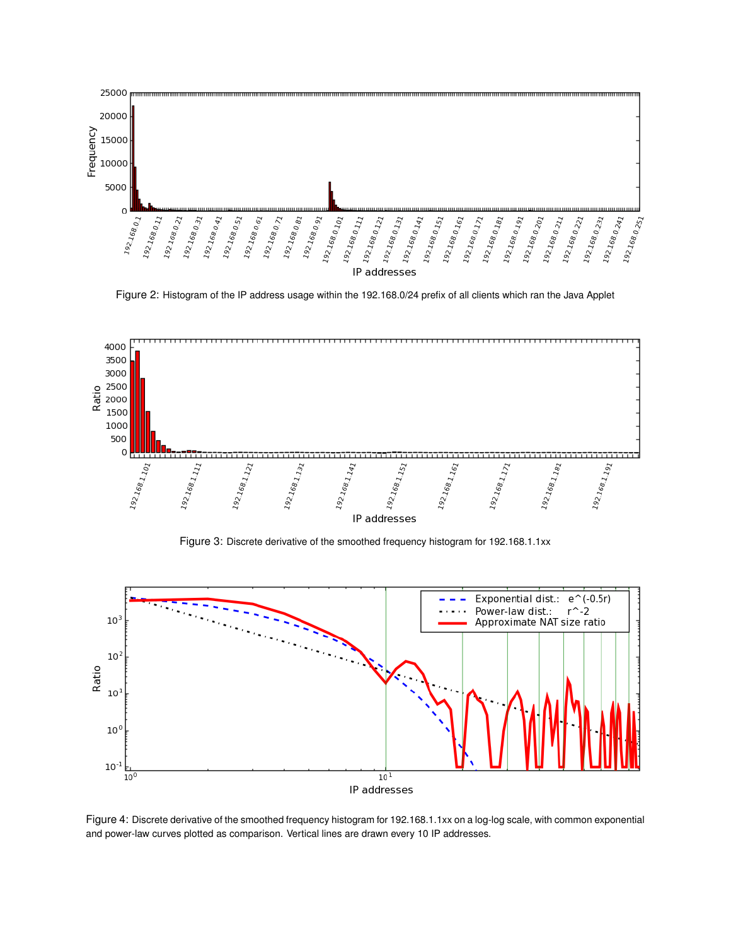

<span id="page-5-0"></span>Figure 2: Histogram of the IP address usage within the 192.168.0/24 prefix of all clients which ran the Java Applet



Figure 3: Discrete derivative of the smoothed frequency histogram for 192.168.1.1xx



<span id="page-5-1"></span>Figure 4: Discrete derivative of the smoothed frequency histogram for 192.168.1.1xx on a log-log scale, with common exponential and power-law curves plotted as comparison. Vertical lines are drawn every 10 IP addresses.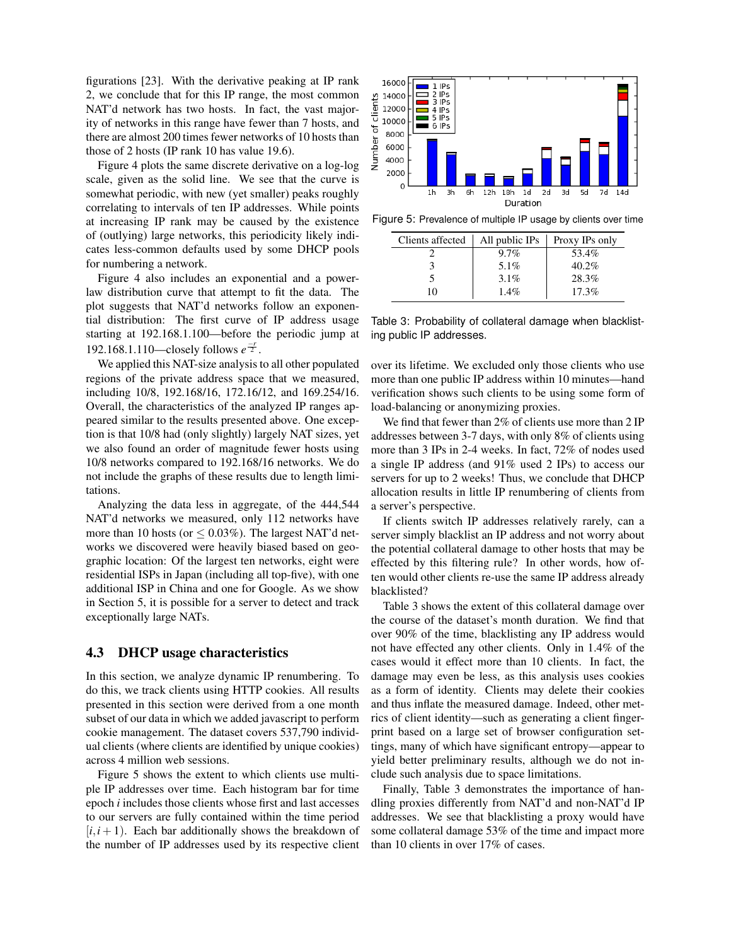figurations [\[23\]](#page-13-14). With the derivative peaking at IP rank 2, we conclude that for this IP range, the most common NAT'd network has two hosts. In fact, the vast majority of networks in this range have fewer than 7 hosts, and there are almost 200 times fewer networks of 10 hosts than those of 2 hosts (IP rank 10 has value 19.6).

Figure [4](#page-5-1) plots the same discrete derivative on a log-log scale, given as the solid line. We see that the curve is somewhat periodic, with new (yet smaller) peaks roughly correlating to intervals of ten IP addresses. While points at increasing IP rank may be caused by the existence of (outlying) large networks, this periodicity likely indicates less-common defaults used by some DHCP pools for numbering a network.

Figure [4](#page-5-1) also includes an exponential and a powerlaw distribution curve that attempt to fit the data. The plot suggests that NAT'd networks follow an exponential distribution: The first curve of IP address usage starting at 192.168.1.100—before the periodic jump at 192.168.1.110—closely follows  $e^{\frac{-r}{2}}$ .

We applied this NAT-size analysis to all other populated regions of the private address space that we measured, including 10/8, 192.168/16, 172.16/12, and 169.254/16. Overall, the characteristics of the analyzed IP ranges appeared similar to the results presented above. One exception is that 10/8 had (only slightly) largely NAT sizes, yet we also found an order of magnitude fewer hosts using 10/8 networks compared to 192.168/16 networks. We do not include the graphs of these results due to length limitations.

Analyzing the data less in aggregate, of the 444,544 NAT'd networks we measured, only 112 networks have more than 10 hosts (or  $\leq$  0.03%). The largest NAT'd networks we discovered were heavily biased based on geographic location: Of the largest ten networks, eight were residential ISPs in Japan (including all top-five), with one additional ISP in China and one for Google. As we show in Section [5,](#page-8-0) it is possible for a server to detect and track exceptionally large NATs.

### <span id="page-6-0"></span>4.3 DHCP usage characteristics

In this section, we analyze dynamic IP renumbering. To do this, we track clients using HTTP cookies. All results presented in this section were derived from a one month subset of our data in which we added javascript to perform cookie management. The dataset covers 537,790 individual clients (where clients are identified by unique cookies) across 4 million web sessions.

Figure [5](#page-6-1) shows the extent to which clients use multiple IP addresses over time. Each histogram bar for time epoch *i* includes those clients whose first and last accesses to our servers are fully contained within the time period  $[i, i+1]$ . Each bar additionally shows the breakdown of the number of IP addresses used by its respective client



Figure 5: Prevalence of multiple IP usage by clients over time

<span id="page-6-1"></span>

| Clients affected | All public IPs | Proxy IPs only |
|------------------|----------------|----------------|
|                  | $9.7\%$        | 53.4%          |
|                  | 5.1%           | $40.2\%$       |
|                  | $3.1\%$        | 28.3%          |
| 10               | $1.4\%$        | 17.3%          |

<span id="page-6-2"></span>Table 3: Probability of collateral damage when blacklisting public IP addresses.

over its lifetime. We excluded only those clients who use more than one public IP address within 10 minutes—hand verification shows such clients to be using some form of load-balancing or anonymizing proxies.

We find that fewer than 2% of clients use more than 2 IP addresses between 3-7 days, with only 8% of clients using more than 3 IPs in 2-4 weeks. In fact, 72% of nodes used a single IP address (and 91% used 2 IPs) to access our servers for up to 2 weeks! Thus, we conclude that DHCP allocation results in little IP renumbering of clients from a server's perspective.

If clients switch IP addresses relatively rarely, can a server simply blacklist an IP address and not worry about the potential collateral damage to other hosts that may be effected by this filtering rule? In other words, how often would other clients re-use the same IP address already blacklisted?

Table [3](#page-6-2) shows the extent of this collateral damage over the course of the dataset's month duration. We find that over 90% of the time, blacklisting any IP address would not have effected any other clients. Only in 1.4% of the cases would it effect more than 10 clients. In fact, the damage may even be less, as this analysis uses cookies as a form of identity. Clients may delete their cookies and thus inflate the measured damage. Indeed, other metrics of client identity—such as generating a client fingerprint based on a large set of browser configuration settings, many of which have significant entropy—appear to yield better preliminary results, although we do not include such analysis due to space limitations.

Finally, Table [3](#page-6-2) demonstrates the importance of handling proxies differently from NAT'd and non-NAT'd IP addresses. We see that blacklisting a proxy would have some collateral damage 53% of the time and impact more than 10 clients in over 17% of cases.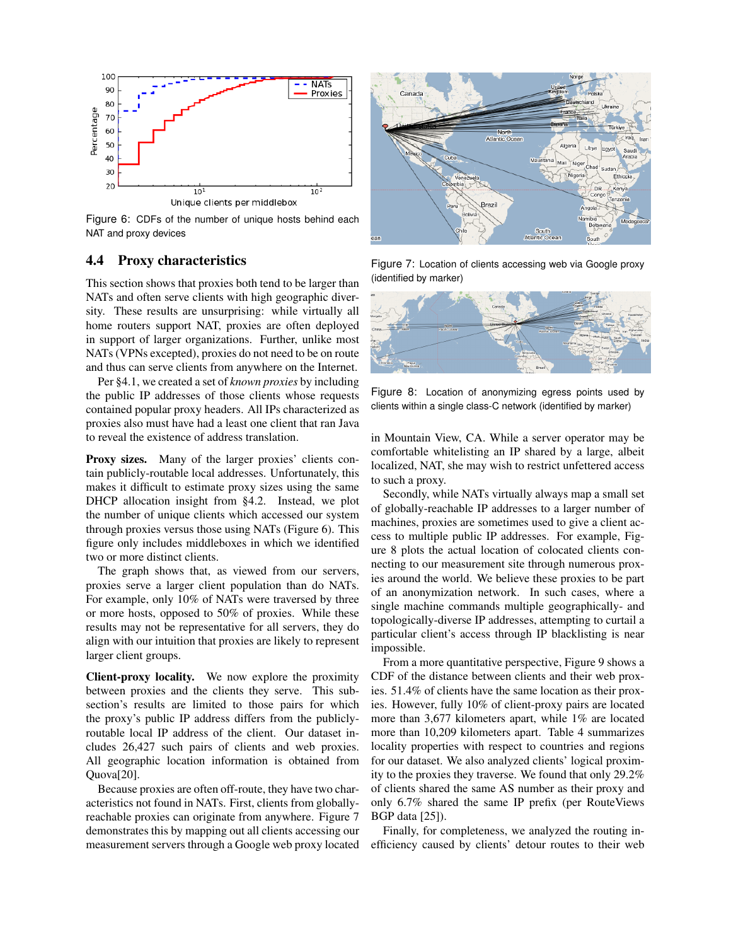

<span id="page-7-1"></span>Figure 6: CDFs of the number of unique hosts behind each NAT and proxy devices

### <span id="page-7-0"></span>4.4 Proxy characteristics

This section shows that proxies both tend to be larger than NATs and often serve clients with high geographic diversity. These results are unsurprising: while virtually all home routers support NAT, proxies are often deployed in support of larger organizations. Further, unlike most NATs (VPNs excepted), proxies do not need to be on route and thus can serve clients from anywhere on the Internet.

Per [§4.1,](#page-4-5) we created a set of *known proxies* by including the public IP addresses of those clients whose requests contained popular proxy headers. All IPs characterized as proxies also must have had a least one client that ran Java to reveal the existence of address translation.

Proxy sizes. Many of the larger proxies' clients contain publicly-routable local addresses. Unfortunately, this makes it difficult to estimate proxy sizes using the same DHCP allocation insight from [§4.2.](#page-4-2) Instead, we plot the number of unique clients which accessed our system through proxies versus those using NATs (Figure [6\)](#page-7-1). This figure only includes middleboxes in which we identified two or more distinct clients.

The graph shows that, as viewed from our servers, proxies serve a larger client population than do NATs. For example, only 10% of NATs were traversed by three or more hosts, opposed to 50% of proxies. While these results may not be representative for all servers, they do align with our intuition that proxies are likely to represent larger client groups.

Client-proxy locality. We now explore the proximity between proxies and the clients they serve. This subsection's results are limited to those pairs for which the proxy's public IP address differs from the publiclyroutable local IP address of the client. Our dataset includes 26,427 such pairs of clients and web proxies. All geographic location information is obtained from Quova[\[20\]](#page-13-1).

Because proxies are often off-route, they have two characteristics not found in NATs. First, clients from globallyreachable proxies can originate from anywhere. Figure [7](#page-7-2) demonstrates this by mapping out all clients accessing our measurement servers through a Google web proxy located



<span id="page-7-2"></span>Figure 7: Location of clients accessing web via Google proxy (identified by marker)



Figure 8: Location of anonymizing egress points used by clients within a single class-C network (identified by marker)

<span id="page-7-3"></span>in Mountain View, CA. While a server operator may be comfortable whitelisting an IP shared by a large, albeit localized, NAT, she may wish to restrict unfettered access to such a proxy.

Secondly, while NATs virtually always map a small set of globally-reachable IP addresses to a larger number of machines, proxies are sometimes used to give a client access to multiple public IP addresses. For example, Figure [8](#page-7-3) plots the actual location of colocated clients connecting to our measurement site through numerous proxies around the world. We believe these proxies to be part of an anonymization network. In such cases, where a single machine commands multiple geographically- and topologically-diverse IP addresses, attempting to curtail a particular client's access through IP blacklisting is near impossible.

From a more quantitative perspective, Figure [9](#page-8-2) shows a CDF of the distance between clients and their web proxies. 51.4% of clients have the same location as their proxies. However, fully 10% of client-proxy pairs are located more than 3,677 kilometers apart, while 1% are located more than 10,209 kilometers apart. Table [4](#page-8-3) summarizes locality properties with respect to countries and regions for our dataset. We also analyzed clients' logical proximity to the proxies they traverse. We found that only 29.2% of clients shared the same AS number as their proxy and only 6.7% shared the same IP prefix (per RouteViews BGP data [\[25\]](#page-13-13)).

Finally, for completeness, we analyzed the routing inefficiency caused by clients' detour routes to their web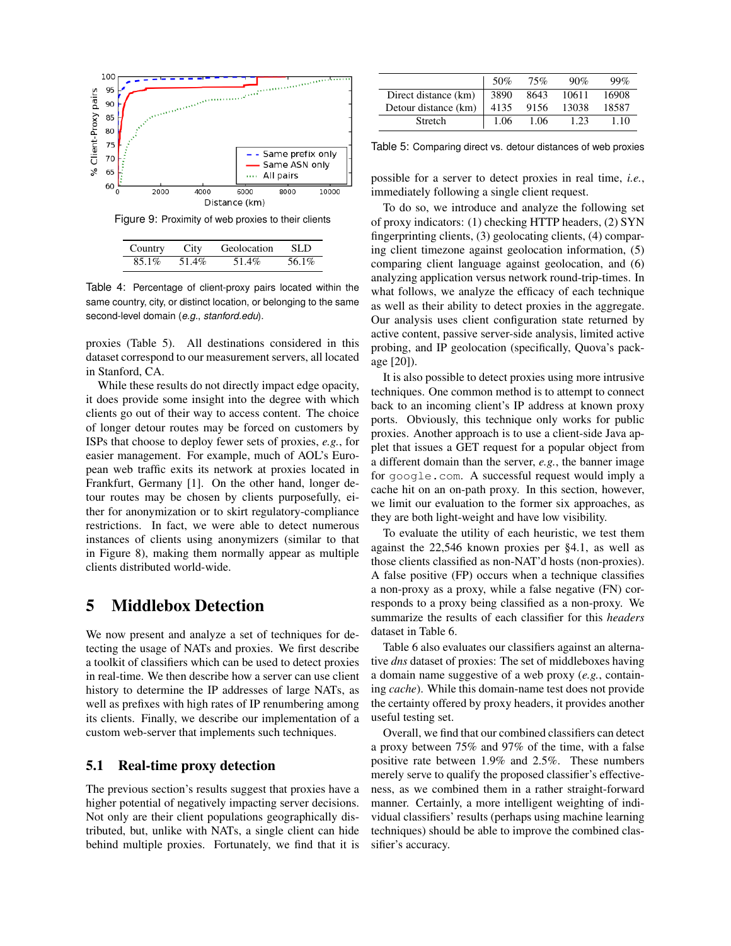

<span id="page-8-2"></span>Figure 9: Proximity of web proxies to their clients

<span id="page-8-3"></span>

| Country  | City  | Geolocation | -SLD  |
|----------|-------|-------------|-------|
| $85.1\%$ | 51.4% | 51.4%       | 56.1% |

Table 4: Percentage of client-proxy pairs located within the same country, city, or distinct location, or belonging to the same second-level domain (*e.g.*, *stanford.edu*).

proxies (Table [5\)](#page-8-4). All destinations considered in this dataset correspond to our measurement servers, all located in Stanford, CA.

While these results do not directly impact edge opacity, it does provide some insight into the degree with which clients go out of their way to access content. The choice of longer detour routes may be forced on customers by ISPs that choose to deploy fewer sets of proxies, *e.g.*, for easier management. For example, much of AOL's European web traffic exits its network at proxies located in Frankfurt, Germany [\[1\]](#page-13-16). On the other hand, longer detour routes may be chosen by clients purposefully, either for anonymization or to skirt regulatory-compliance restrictions. In fact, we were able to detect numerous instances of clients using anonymizers (similar to that in Figure [8\)](#page-7-3), making them normally appear as multiple clients distributed world-wide.

# <span id="page-8-0"></span>5 Middlebox Detection

We now present and analyze a set of techniques for detecting the usage of NATs and proxies. We first describe a toolkit of classifiers which can be used to detect proxies in real-time. We then describe how a server can use client history to determine the IP addresses of large NATs, as well as prefixes with high rates of IP renumbering among its clients. Finally, we describe our implementation of a custom web-server that implements such techniques.

### <span id="page-8-1"></span>5.1 Real-time proxy detection

The previous section's results suggest that proxies have a higher potential of negatively impacting server decisions. Not only are their client populations geographically distributed, but, unlike with NATs, a single client can hide behind multiple proxies. Fortunately, we find that it is

|                      | 50%  | 75%  | 90%   | 99%   |
|----------------------|------|------|-------|-------|
| Direct distance (km) | 3890 | 8643 | 10611 | 16908 |
| Detour distance (km) | 4135 | 9156 | 13038 | 18587 |
| Stretch              | 1.06 | 1.06 | 1.23  | 1.10  |

<span id="page-8-4"></span>Table 5: Comparing direct vs. detour distances of web proxies

possible for a server to detect proxies in real time, *i.e.*, immediately following a single client request.

To do so, we introduce and analyze the following set of proxy indicators: (1) checking HTTP headers, (2) SYN fingerprinting clients, (3) geolocating clients, (4) comparing client timezone against geolocation information, (5) comparing client language against geolocation, and (6) analyzing application versus network round-trip-times. In what follows, we analyze the efficacy of each technique as well as their ability to detect proxies in the aggregate. Our analysis uses client configuration state returned by active content, passive server-side analysis, limited active probing, and IP geolocation (specifically, Quova's package [\[20\]](#page-13-1)).

It is also possible to detect proxies using more intrusive techniques. One common method is to attempt to connect back to an incoming client's IP address at known proxy ports. Obviously, this technique only works for public proxies. Another approach is to use a client-side Java applet that issues a GET request for a popular object from a different domain than the server, *e.g.*, the banner image for google.com. A successful request would imply a cache hit on an on-path proxy. In this section, however, we limit our evaluation to the former six approaches, as they are both light-weight and have low visibility.

To evaluate the utility of each heuristic, we test them against the 22,546 known proxies per [§4.1,](#page-4-5) as well as those clients classified as non-NAT'd hosts (non-proxies). A false positive (FP) occurs when a technique classifies a non-proxy as a proxy, while a false negative (FN) corresponds to a proxy being classified as a non-proxy. We summarize the results of each classifier for this *headers* dataset in Table [6.](#page-9-0)

Table [6](#page-9-0) also evaluates our classifiers against an alternative *dns* dataset of proxies: The set of middleboxes having a domain name suggestive of a web proxy (*e.g.*, containing *cache*). While this domain-name test does not provide the certainty offered by proxy headers, it provides another useful testing set.

Overall, we find that our combined classifiers can detect a proxy between 75% and 97% of the time, with a false positive rate between 1.9% and 2.5%. These numbers merely serve to qualify the proposed classifier's effectiveness, as we combined them in a rather straight-forward manner. Certainly, a more intelligent weighting of individual classifiers' results (perhaps using machine learning techniques) should be able to improve the combined classifier's accuracy.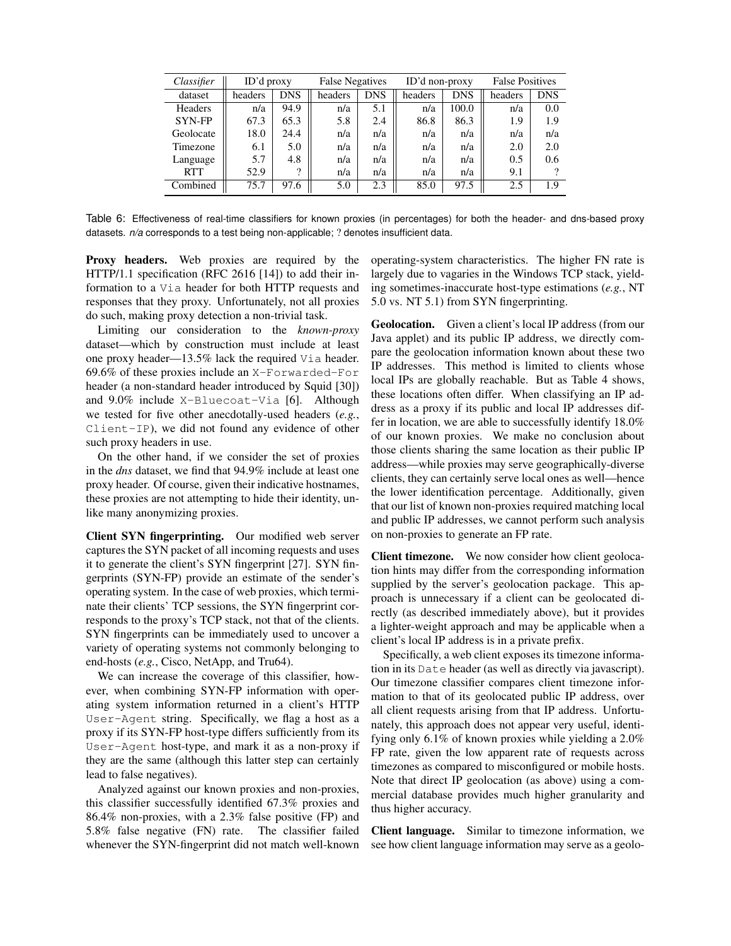| Classifier    | $ID'$ d proxy |            | <b>False Negatives</b> |            | ID'd non-proxy |            | <b>False Positives</b> |     |
|---------------|---------------|------------|------------------------|------------|----------------|------------|------------------------|-----|
| dataset       | headers       | <b>DNS</b> | headers                | <b>DNS</b> | headers        | <b>DNS</b> | headers                | DNS |
| Headers       | n/a           | 94.9       | n/a                    | 5.1        | n/a            | 100.0      | n/a                    | 0.0 |
| <b>SYN-FP</b> | 67.3          | 65.3       | 5.8                    | 2.4        | 86.8           | 86.3       | 1.9                    | 1.9 |
| Geolocate     | 18.0          | 24.4       | n/a                    | n/a        | n/a            | n/a        | n/a                    | n/a |
| Timezone      | 6.1           | 5.0        | n/a                    | n/a        | n/a            | n/a        | 2.0                    | 2.0 |
| Language      | 5.7           | 4.8        | n/a                    | n/a        | n/a            | n/a        | 0.5                    | 0.6 |
| <b>RTT</b>    | 52.9          | റ          | n/a                    | n/a        | n/a            | n/a        | 9.1                    |     |
| Combined      | 75.7          | 97.6       | 5.0                    | 2.3        | 85.0           | 97.5       | 2.5                    | 1.9 |

<span id="page-9-0"></span>Table 6: Effectiveness of real-time classifiers for known proxies (in percentages) for both the header- and dns-based proxy datasets. *n/a* corresponds to a test being non-applicable; ? denotes insufficient data.

Proxy headers. Web proxies are required by the HTTP/1.1 specification (RFC 2616 [\[14\]](#page-13-17)) to add their information to a Via header for both HTTP requests and responses that they proxy. Unfortunately, not all proxies do such, making proxy detection a non-trivial task.

Limiting our consideration to the *known-proxy* dataset—which by construction must include at least one proxy header—13.5% lack the required Via header. 69.6% of these proxies include an X-Forwarded-For header (a non-standard header introduced by Squid [\[30\]](#page-13-18)) and 9.0% include X-Bluecoat-Via [\[6\]](#page-13-19). Although we tested for five other anecdotally-used headers (*e.g.*, Client-IP), we did not found any evidence of other such proxy headers in use.

On the other hand, if we consider the set of proxies in the *dns* dataset, we find that 94.9% include at least one proxy header. Of course, given their indicative hostnames, these proxies are not attempting to hide their identity, unlike many anonymizing proxies.

Client SYN fingerprinting. Our modified web server captures the SYN packet of all incoming requests and uses it to generate the client's SYN fingerprint [\[27\]](#page-13-12). SYN fingerprints (SYN-FP) provide an estimate of the sender's operating system. In the case of web proxies, which terminate their clients' TCP sessions, the SYN fingerprint corresponds to the proxy's TCP stack, not that of the clients. SYN fingerprints can be immediately used to uncover a variety of operating systems not commonly belonging to end-hosts (*e.g.*, Cisco, NetApp, and Tru64).

We can increase the coverage of this classifier, however, when combining SYN-FP information with operating system information returned in a client's HTTP User-Agent string. Specifically, we flag a host as a proxy if its SYN-FP host-type differs sufficiently from its User-Agent host-type, and mark it as a non-proxy if they are the same (although this latter step can certainly lead to false negatives).

Analyzed against our known proxies and non-proxies, this classifier successfully identified 67.3% proxies and 86.4% non-proxies, with a 2.3% false positive (FP) and 5.8% false negative (FN) rate. The classifier failed whenever the SYN-fingerprint did not match well-known operating-system characteristics. The higher FN rate is largely due to vagaries in the Windows TCP stack, yielding sometimes-inaccurate host-type estimations (*e.g.*, NT 5.0 vs. NT 5.1) from SYN fingerprinting.

Geolocation. Given a client's local IP address (from our Java applet) and its public IP address, we directly compare the geolocation information known about these two IP addresses. This method is limited to clients whose local IPs are globally reachable. But as Table [4](#page-8-3) shows, these locations often differ. When classifying an IP address as a proxy if its public and local IP addresses differ in location, we are able to successfully identify 18.0% of our known proxies. We make no conclusion about those clients sharing the same location as their public IP address—while proxies may serve geographically-diverse clients, they can certainly serve local ones as well—hence the lower identification percentage. Additionally, given that our list of known non-proxies required matching local and public IP addresses, we cannot perform such analysis on non-proxies to generate an FP rate.

Client timezone. We now consider how client geolocation hints may differ from the corresponding information supplied by the server's geolocation package. This approach is unnecessary if a client can be geolocated directly (as described immediately above), but it provides a lighter-weight approach and may be applicable when a client's local IP address is in a private prefix.

Specifically, a web client exposes its timezone information in its Date header (as well as directly via javascript). Our timezone classifier compares client timezone information to that of its geolocated public IP address, over all client requests arising from that IP address. Unfortunately, this approach does not appear very useful, identifying only 6.1% of known proxies while yielding a 2.0% FP rate, given the low apparent rate of requests across timezones as compared to misconfigured or mobile hosts. Note that direct IP geolocation (as above) using a commercial database provides much higher granularity and thus higher accuracy.

Client language. Similar to timezone information, we see how client language information may serve as a geolo-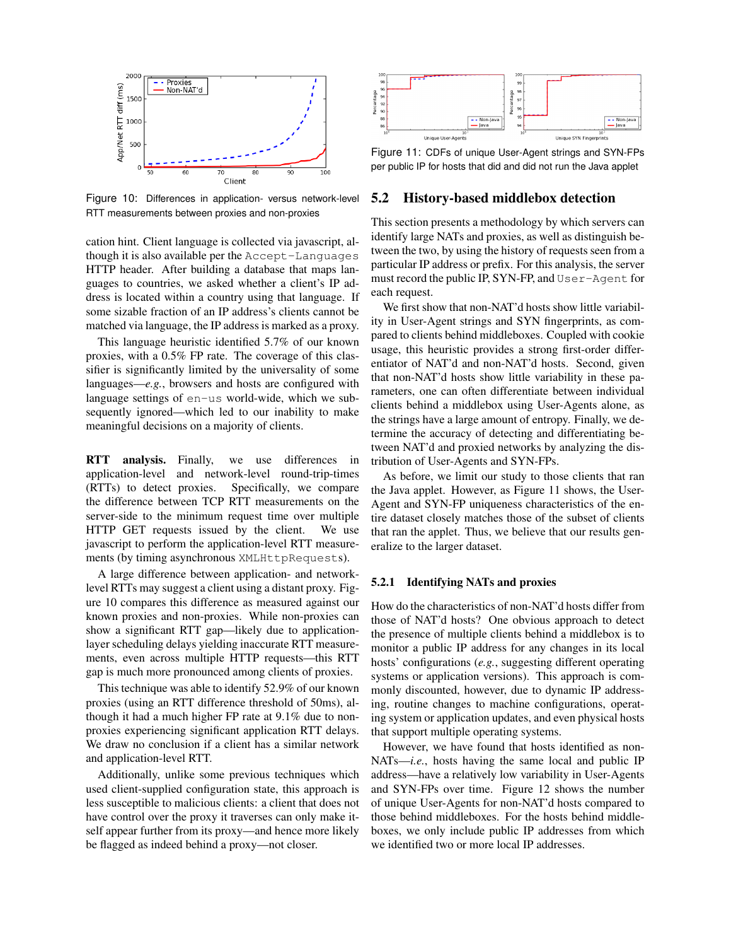

<span id="page-10-0"></span>Figure 10: Differences in application- versus network-level RTT measurements between proxies and non-proxies

cation hint. Client language is collected via javascript, although it is also available per the Accept-Languages HTTP header. After building a database that maps languages to countries, we asked whether a client's IP address is located within a country using that language. If some sizable fraction of an IP address's clients cannot be matched via language, the IP address is marked as a proxy.

This language heuristic identified 5.7% of our known proxies, with a 0.5% FP rate. The coverage of this classifier is significantly limited by the universality of some languages—*e.g.*, browsers and hosts are configured with language settings of en-us world-wide, which we subsequently ignored—which led to our inability to make meaningful decisions on a majority of clients.

RTT analysis. Finally, we use differences in application-level and network-level round-trip-times (RTTs) to detect proxies. Specifically, we compare the difference between TCP RTT measurements on the server-side to the minimum request time over multiple HTTP GET requests issued by the client. We use javascript to perform the application-level RTT measurements (by timing asynchronous XMLHttpRequests).

A large difference between application- and networklevel RTTs may suggest a client using a distant proxy. Figure [10](#page-10-0) compares this difference as measured against our known proxies and non-proxies. While non-proxies can show a significant RTT gap—likely due to applicationlayer scheduling delays yielding inaccurate RTT measurements, even across multiple HTTP requests—this RTT gap is much more pronounced among clients of proxies.

This technique was able to identify 52.9% of our known proxies (using an RTT difference threshold of 50ms), although it had a much higher FP rate at 9.1% due to nonproxies experiencing significant application RTT delays. We draw no conclusion if a client has a similar network and application-level RTT.

Additionally, unlike some previous techniques which used client-supplied configuration state, this approach is less susceptible to malicious clients: a client that does not have control over the proxy it traverses can only make itself appear further from its proxy—and hence more likely be flagged as indeed behind a proxy—not closer.



<span id="page-10-1"></span>Figure 11: CDFs of unique User-Agent strings and SYN-FPs per public IP for hosts that did and did not run the Java applet

#### 5.2 History-based middlebox detection

This section presents a methodology by which servers can identify large NATs and proxies, as well as distinguish between the two, by using the history of requests seen from a particular IP address or prefix. For this analysis, the server must record the public IP, SYN-FP, and User-Agent for each request.

We first show that non-NAT'd hosts show little variability in User-Agent strings and SYN fingerprints, as compared to clients behind middleboxes. Coupled with cookie usage, this heuristic provides a strong first-order differentiator of NAT'd and non-NAT'd hosts. Second, given that non-NAT'd hosts show little variability in these parameters, one can often differentiate between individual clients behind a middlebox using User-Agents alone, as the strings have a large amount of entropy. Finally, we determine the accuracy of detecting and differentiating between NAT'd and proxied networks by analyzing the distribution of User-Agents and SYN-FPs.

As before, we limit our study to those clients that ran the Java applet. However, as Figure [11](#page-10-1) shows, the User-Agent and SYN-FP uniqueness characteristics of the entire dataset closely matches those of the subset of clients that ran the applet. Thus, we believe that our results generalize to the larger dataset.

#### 5.2.1 Identifying NATs and proxies

How do the characteristics of non-NAT'd hosts differ from those of NAT'd hosts? One obvious approach to detect the presence of multiple clients behind a middlebox is to monitor a public IP address for any changes in its local hosts' configurations (*e.g.*, suggesting different operating systems or application versions). This approach is commonly discounted, however, due to dynamic IP addressing, routine changes to machine configurations, operating system or application updates, and even physical hosts that support multiple operating systems.

However, we have found that hosts identified as non-NATs—*i.e.*, hosts having the same local and public IP address—have a relatively low variability in User-Agents and SYN-FPs over time. Figure [12](#page-11-1) shows the number of unique User-Agents for non-NAT'd hosts compared to those behind middleboxes. For the hosts behind middleboxes, we only include public IP addresses from which we identified two or more local IP addresses.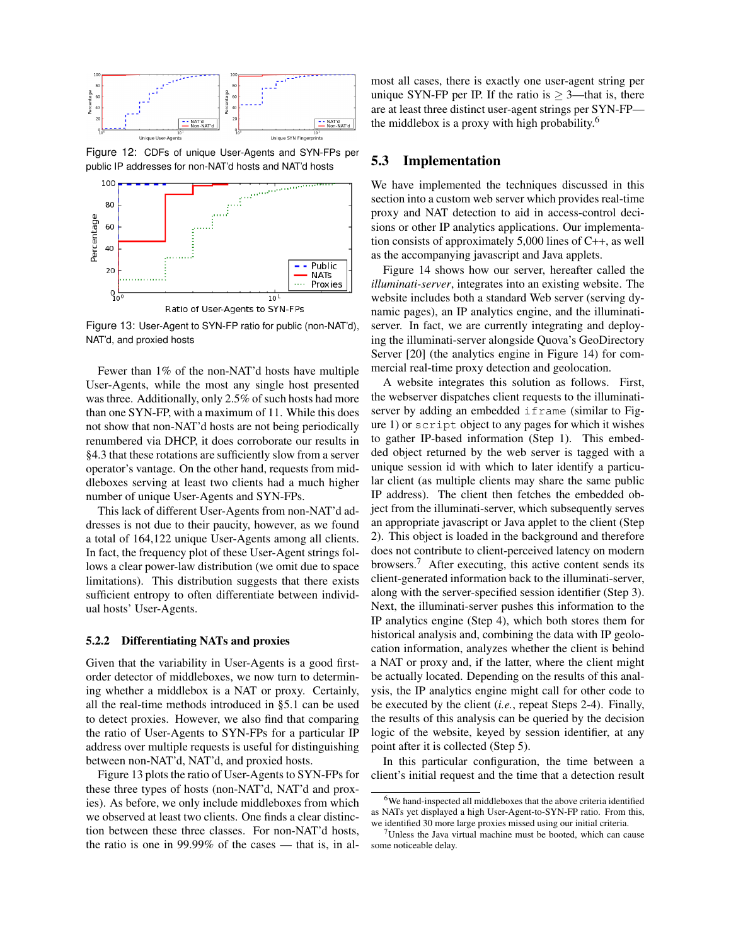

<span id="page-11-1"></span>Figure 12: CDFs of unique User-Agents and SYN-FPs per public IP addresses for non-NAT'd hosts and NAT'd hosts



<span id="page-11-2"></span>Figure 13: User-Agent to SYN-FP ratio for public (non-NAT'd), NAT'd, and proxied hosts

Fewer than 1% of the non-NAT'd hosts have multiple User-Agents, while the most any single host presented was three. Additionally, only 2.5% of such hosts had more than one SYN-FP, with a maximum of 11. While this does not show that non-NAT'd hosts are not being periodically renumbered via DHCP, it does corroborate our results in [§4.3](#page-6-0) that these rotations are sufficiently slow from a server operator's vantage. On the other hand, requests from middleboxes serving at least two clients had a much higher number of unique User-Agents and SYN-FPs.

This lack of different User-Agents from non-NAT'd addresses is not due to their paucity, however, as we found a total of 164,122 unique User-Agents among all clients. In fact, the frequency plot of these User-Agent strings follows a clear power-law distribution (we omit due to space limitations). This distribution suggests that there exists sufficient entropy to often differentiate between individual hosts' User-Agents.

#### <span id="page-11-0"></span>5.2.2 Differentiating NATs and proxies

Given that the variability in User-Agents is a good firstorder detector of middleboxes, we now turn to determining whether a middlebox is a NAT or proxy. Certainly, all the real-time methods introduced in [§5.1](#page-8-1) can be used to detect proxies. However, we also find that comparing the ratio of User-Agents to SYN-FPs for a particular IP address over multiple requests is useful for distinguishing between non-NAT'd, NAT'd, and proxied hosts.

Figure [13](#page-11-2) plots the ratio of User-Agents to SYN-FPs for these three types of hosts (non-NAT'd, NAT'd and proxies). As before, we only include middleboxes from which we observed at least two clients. One finds a clear distinction between these three classes. For non-NAT'd hosts, the ratio is one in 99.99% of the cases — that is, in almost all cases, there is exactly one user-agent string per unique SYN-FP per IP. If the ratio is  $\geq$  3—that is, there are at least three distinct user-agent strings per SYN-FP the middlebox is a proxy with high probability.[6](#page-11-3)

#### 5.3 Implementation

We have implemented the techniques discussed in this section into a custom web server which provides real-time proxy and NAT detection to aid in access-control decisions or other IP analytics applications. Our implementation consists of approximately 5,000 lines of C++, as well as the accompanying javascript and Java applets.

Figure [14](#page-12-0) shows how our server, hereafter called the *illuminati-server*, integrates into an existing website. The website includes both a standard Web server (serving dynamic pages), an IP analytics engine, and the illuminatiserver. In fact, we are currently integrating and deploying the illuminati-server alongside Quova's GeoDirectory Server [\[20\]](#page-13-1) (the analytics engine in Figure [14\)](#page-12-0) for commercial real-time proxy detection and geolocation.

A website integrates this solution as follows. First, the webserver dispatches client requests to the illuminatiserver by adding an embedded if rame (similar to Figure [1\)](#page-4-1) or script object to any pages for which it wishes to gather IP-based information (Step 1). This embedded object returned by the web server is tagged with a unique session id with which to later identify a particular client (as multiple clients may share the same public IP address). The client then fetches the embedded object from the illuminati-server, which subsequently serves an appropriate javascript or Java applet to the client (Step 2). This object is loaded in the background and therefore does not contribute to client-perceived latency on modern browsers.[7](#page-11-4) After executing, this active content sends its client-generated information back to the illuminati-server, along with the server-specified session identifier (Step 3). Next, the illuminati-server pushes this information to the IP analytics engine (Step 4), which both stores them for historical analysis and, combining the data with IP geolocation information, analyzes whether the client is behind a NAT or proxy and, if the latter, where the client might be actually located. Depending on the results of this analysis, the IP analytics engine might call for other code to be executed by the client (*i.e.*, repeat Steps 2-4). Finally, the results of this analysis can be queried by the decision logic of the website, keyed by session identifier, at any point after it is collected (Step 5).

In this particular configuration, the time between a client's initial request and the time that a detection result

<span id="page-11-3"></span> $6$ We hand-inspected all middleboxes that the above criteria identified as NATs yet displayed a high User-Agent-to-SYN-FP ratio. From this, we identified 30 more large proxies missed using our initial criteria.

<span id="page-11-4"></span><sup>7</sup>Unless the Java virtual machine must be booted, which can cause some noticeable delay.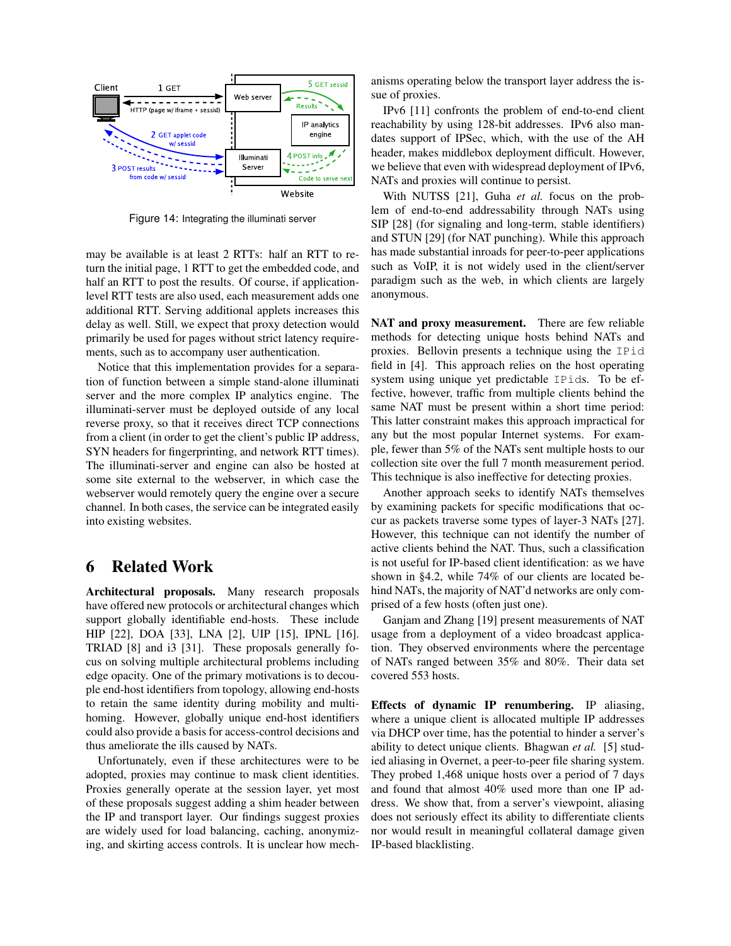

<span id="page-12-0"></span>Figure 14: Integrating the illuminati server

may be available is at least 2 RTTs: half an RTT to return the initial page, 1 RTT to get the embedded code, and half an RTT to post the results. Of course, if applicationlevel RTT tests are also used, each measurement adds one additional RTT. Serving additional applets increases this delay as well. Still, we expect that proxy detection would primarily be used for pages without strict latency requirements, such as to accompany user authentication.

Notice that this implementation provides for a separation of function between a simple stand-alone illuminati server and the more complex IP analytics engine. The illuminati-server must be deployed outside of any local reverse proxy, so that it receives direct TCP connections from a client (in order to get the client's public IP address, SYN headers for fingerprinting, and network RTT times). The illuminati-server and engine can also be hosted at some site external to the webserver, in which case the webserver would remotely query the engine over a secure channel. In both cases, the service can be integrated easily into existing websites.

# 6 Related Work

Architectural proposals. Many research proposals have offered new protocols or architectural changes which support globally identifiable end-hosts. These include HIP [\[22\]](#page-13-20), DOA [\[33\]](#page-13-21), LNA [\[2\]](#page-13-22), UIP [\[15\]](#page-13-23), IPNL [\[16\]](#page-13-24). TRIAD [\[8\]](#page-13-25) and i3 [\[31\]](#page-13-26). These proposals generally focus on solving multiple architectural problems including edge opacity. One of the primary motivations is to decouple end-host identifiers from topology, allowing end-hosts to retain the same identity during mobility and multihoming. However, globally unique end-host identifiers could also provide a basis for access-control decisions and thus ameliorate the ills caused by NATs.

Unfortunately, even if these architectures were to be adopted, proxies may continue to mask client identities. Proxies generally operate at the session layer, yet most of these proposals suggest adding a shim header between the IP and transport layer. Our findings suggest proxies are widely used for load balancing, caching, anonymizing, and skirting access controls. It is unclear how mechanisms operating below the transport layer address the issue of proxies.

IPv6 [\[11\]](#page-13-27) confronts the problem of end-to-end client reachability by using 128-bit addresses. IPv6 also mandates support of IPSec, which, with the use of the AH header, makes middlebox deployment difficult. However, we believe that even with widespread deployment of IPv6, NATs and proxies will continue to persist.

With NUTSS [\[21\]](#page-13-28), Guha *et al.* focus on the problem of end-to-end addressability through NATs using SIP [\[28\]](#page-13-29) (for signaling and long-term, stable identifiers) and STUN [\[29\]](#page-13-30) (for NAT punching). While this approach has made substantial inroads for peer-to-peer applications such as VoIP, it is not widely used in the client/server paradigm such as the web, in which clients are largely anonymous.

NAT and proxy measurement. There are few reliable methods for detecting unique hosts behind NATs and proxies. Bellovin presents a technique using the IPid field in [\[4\]](#page-13-31). This approach relies on the host operating system using unique yet predictable IPids. To be effective, however, traffic from multiple clients behind the same NAT must be present within a short time period: This latter constraint makes this approach impractical for any but the most popular Internet systems. For example, fewer than 5% of the NATs sent multiple hosts to our collection site over the full 7 month measurement period. This technique is also ineffective for detecting proxies.

Another approach seeks to identify NATs themselves by examining packets for specific modifications that occur as packets traverse some types of layer-3 NATs [\[27\]](#page-13-12). However, this technique can not identify the number of active clients behind the NAT. Thus, such a classification is not useful for IP-based client identification: as we have shown in [§4.2,](#page-4-2) while 74% of our clients are located behind NATs, the majority of NAT'd networks are only comprised of a few hosts (often just one).

Ganjam and Zhang [\[19\]](#page-13-9) present measurements of NAT usage from a deployment of a video broadcast application. They observed environments where the percentage of NATs ranged between 35% and 80%. Their data set covered 553 hosts.

Effects of dynamic IP renumbering. IP aliasing, where a unique client is allocated multiple IP addresses via DHCP over time, has the potential to hinder a server's ability to detect unique clients. Bhagwan *et al.* [\[5\]](#page-13-32) studied aliasing in Overnet, a peer-to-peer file sharing system. They probed 1,468 unique hosts over a period of 7 days and found that almost 40% used more than one IP address. We show that, from a server's viewpoint, aliasing does not seriously effect its ability to differentiate clients nor would result in meaningful collateral damage given IP-based blacklisting.